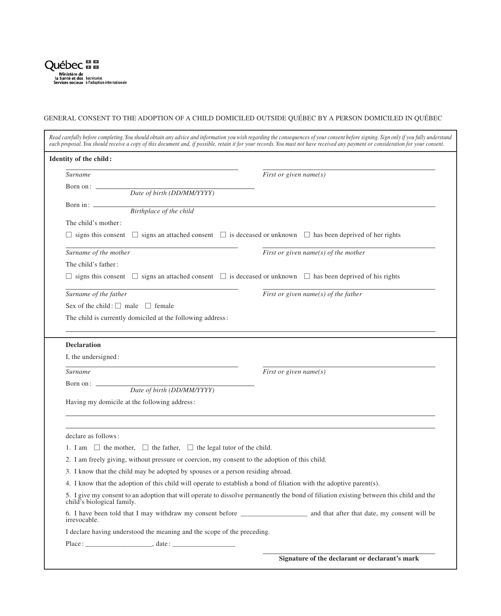

## GENERAL CONSENT TO THE ADOPTION OF A CHILD DOMICILED OUTSIDE QUÉBEC BY A PERSON DOMICILED IN QUÉBEC

| <b>Identity of the child:</b>                                                                                                                                         |                                          |
|-----------------------------------------------------------------------------------------------------------------------------------------------------------------------|------------------------------------------|
| <b>Surname</b>                                                                                                                                                        | First or given name(s)                   |
| Born on: —<br>Date of birth (DD/MM/YYYY)                                                                                                                              |                                          |
| Born in: $\_\_\_\_\_\_\_\_\_\_\_\_\$                                                                                                                                  |                                          |
| Birthplace of the child                                                                                                                                               |                                          |
| The child's mother:                                                                                                                                                   |                                          |
| $\Box$ signs this consent $\Box$ signs an attached consent $\Box$ is deceased or unknown $\Box$ has been deprived of her rights                                       |                                          |
| Surname of the mother                                                                                                                                                 | First or given name( $s$ ) of the mother |
| The child's father:                                                                                                                                                   |                                          |
| $\Box$ signs this consent $\Box$ signs an attached consent $\Box$ is deceased or unknown $\Box$ has been deprived of his rights                                       |                                          |
| Surname of the father                                                                                                                                                 | First or given name( $s$ ) of the father |
| Sex of the child: $\Box$ male $\Box$ female                                                                                                                           |                                          |
| The child is currently domiciled at the following address:                                                                                                            |                                          |
|                                                                                                                                                                       |                                          |
| <b>Declaration</b><br>I, the undersigned:                                                                                                                             |                                          |
| <b>Surname</b>                                                                                                                                                        | First or given name( $s$ )               |
|                                                                                                                                                                       |                                          |
| Born on: _                                                                                                                                                            |                                          |
| Date of birth (DD/MM/YYYY)                                                                                                                                            |                                          |
| Having my domicile at the following address:                                                                                                                          |                                          |
|                                                                                                                                                                       |                                          |
| declare as follows:                                                                                                                                                   |                                          |
| 1. I am $\Box$ the mother, $\Box$ the father, $\Box$ the legal tutor of the child.                                                                                    |                                          |
| 2. I am freely giving, without pressure or coercion, my consent to the adoption of this child.                                                                        |                                          |
| 3. I know that the child may be adopted by spouses or a person residing abroad.                                                                                       |                                          |
| 4. I know that the adoption of this child will operate to establish a bond of filiation with the adoptive parent(s).                                                  |                                          |
| 5. I give my consent to an adoption that will operate to dissolve permanently the bond of filiation existing between this child and the<br>child's biological family. |                                          |
| 6. I have been told that I may withdraw my consent before _______________________ and that after that date, my consent will be<br>irrevocable.                        |                                          |
| I declare having understood the meaning and the scope of the preceding.                                                                                               |                                          |